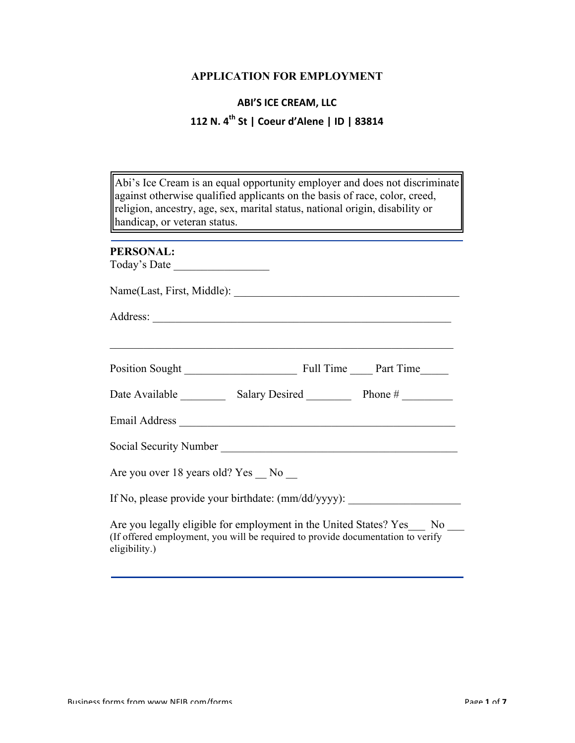## **APPLICATION FOR EMPLOYMENT**

# **ABI'S ICE CREAM, LLC 112 N. 4th St | Coeur d'Alene | ID | 83814**

| Abi's Ice Cream is an equal opportunity employer and does not discriminate<br>against otherwise qualified applicants on the basis of race, color, creed,<br>religion, ancestry, age, sex, marital status, national origin, disability or<br>handicap, or veteran status.<br><u> 1980 - Johann Barnett, fransk politik (f. 1980)</u> |  |  |  |  |
|-------------------------------------------------------------------------------------------------------------------------------------------------------------------------------------------------------------------------------------------------------------------------------------------------------------------------------------|--|--|--|--|
| <b>PERSONAL:</b>                                                                                                                                                                                                                                                                                                                    |  |  |  |  |
| Today's Date                                                                                                                                                                                                                                                                                                                        |  |  |  |  |
|                                                                                                                                                                                                                                                                                                                                     |  |  |  |  |
|                                                                                                                                                                                                                                                                                                                                     |  |  |  |  |
|                                                                                                                                                                                                                                                                                                                                     |  |  |  |  |
|                                                                                                                                                                                                                                                                                                                                     |  |  |  |  |
|                                                                                                                                                                                                                                                                                                                                     |  |  |  |  |
|                                                                                                                                                                                                                                                                                                                                     |  |  |  |  |
| Social Security Number<br><u>Letter and the contract of the second second second second second second second second second second second second second second second second second second second second second second second secon</u>                                                                                              |  |  |  |  |
| Are you over 18 years old? Yes _ No _                                                                                                                                                                                                                                                                                               |  |  |  |  |
| If No, please provide your birthdate: (mm/dd/yyyy): ____________________________                                                                                                                                                                                                                                                    |  |  |  |  |
| Are you legally eligible for employment in the United States? Yes No<br>(If offered employment, you will be required to provide documentation to verify<br>eligibility.)                                                                                                                                                            |  |  |  |  |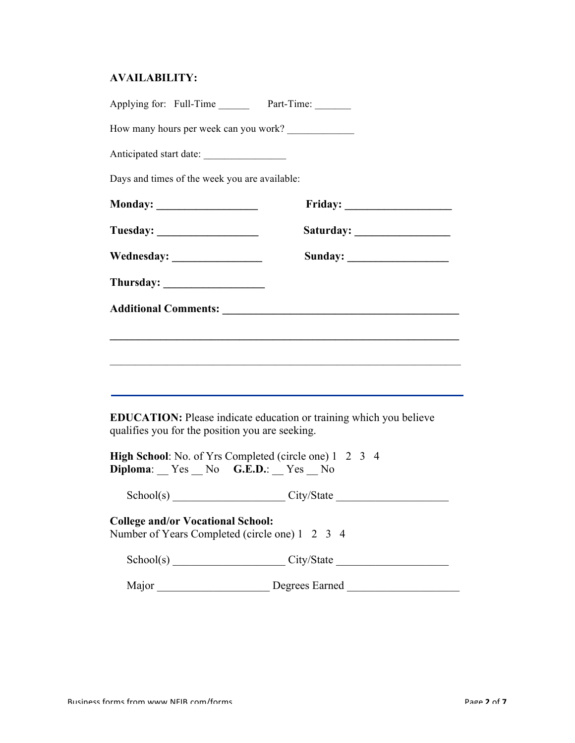## **AVAILABILITY:**

| Applying for: Full-Time Part-Time:                                                                   |                                                                                                                       |
|------------------------------------------------------------------------------------------------------|-----------------------------------------------------------------------------------------------------------------------|
| How many hours per week can you work?                                                                |                                                                                                                       |
| Anticipated start date:                                                                              |                                                                                                                       |
| Days and times of the week you are available:                                                        |                                                                                                                       |
|                                                                                                      |                                                                                                                       |
|                                                                                                      |                                                                                                                       |
|                                                                                                      |                                                                                                                       |
|                                                                                                      |                                                                                                                       |
|                                                                                                      |                                                                                                                       |
|                                                                                                      | <u> 1989 - Andrea Stadt Britain, actor a component de la componentación de la componentación de la componentación</u> |
|                                                                                                      |                                                                                                                       |
|                                                                                                      | ,我们也不会有什么。""我们的人,我们也不会有什么?""我们的人,我们也不会有什么?""我们的人,我们也不会有什么?""我们的人,我们也不会有什么?""我们的人                                      |
|                                                                                                      |                                                                                                                       |
| qualifies you for the position you are seeking.                                                      | <b>EDUCATION:</b> Please indicate education or training which you believe                                             |
| High School: No. of Yrs Completed (circle one) 1 2 3 4<br>$Diploma:$ $Yes$ $No$ $G.E.D.:$ $Yes$ $No$ |                                                                                                                       |
|                                                                                                      | School(s) City/State City/State                                                                                       |
| <b>College and/or Vocational School:</b><br>Number of Years Completed (circle one) 1 2 3 4           |                                                                                                                       |
|                                                                                                      | School(s) City/State City/State                                                                                       |
|                                                                                                      |                                                                                                                       |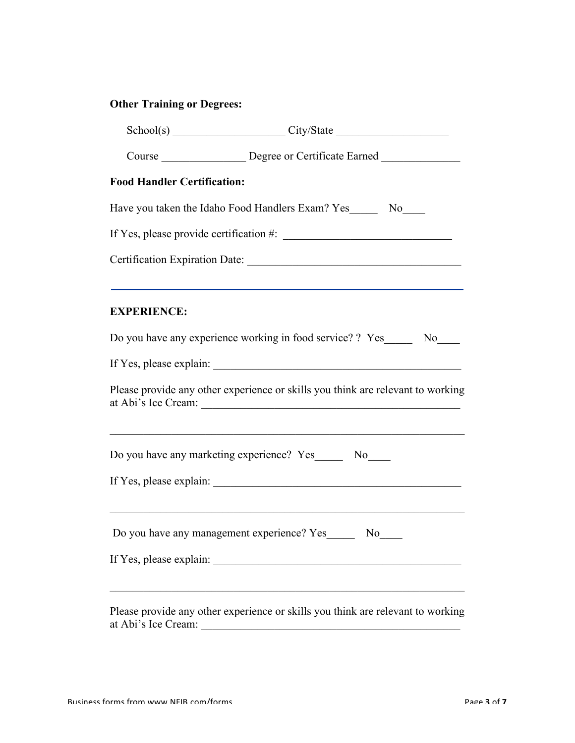# **Other Training or Degrees:**

|                                    | $Stabool(s)$ $City/State$ $City/State$                                                                                                                                       |  |  |  |  |
|------------------------------------|------------------------------------------------------------------------------------------------------------------------------------------------------------------------------|--|--|--|--|
|                                    | Course ___________________ Degree or Certificate Earned ________________________                                                                                             |  |  |  |  |
| <b>Food Handler Certification:</b> |                                                                                                                                                                              |  |  |  |  |
|                                    | Have you taken the Idaho Food Handlers Exam? Yes_________ No_____                                                                                                            |  |  |  |  |
|                                    |                                                                                                                                                                              |  |  |  |  |
|                                    |                                                                                                                                                                              |  |  |  |  |
| <b>EXPERIENCE:</b>                 |                                                                                                                                                                              |  |  |  |  |
|                                    | Do you have any experience working in food service? ? Yes________ No_____                                                                                                    |  |  |  |  |
|                                    |                                                                                                                                                                              |  |  |  |  |
|                                    | Please provide any other experience or skills you think are relevant to working                                                                                              |  |  |  |  |
|                                    | and the control of the control of the control of the control of the control of the control of the control of the<br>Do you have any marketing experience? Yes_______ No_____ |  |  |  |  |
|                                    |                                                                                                                                                                              |  |  |  |  |
|                                    | Do you have any management experience? Yes________ No_____                                                                                                                   |  |  |  |  |
|                                    |                                                                                                                                                                              |  |  |  |  |
|                                    | Please provide any other experience or skills you think are relevant to working                                                                                              |  |  |  |  |

at Abi's Ice Cream: \_\_\_\_\_\_\_\_\_\_\_\_\_\_\_\_\_\_\_\_\_\_\_\_\_\_\_\_\_\_\_\_\_\_\_\_\_\_\_\_\_\_\_\_\_\_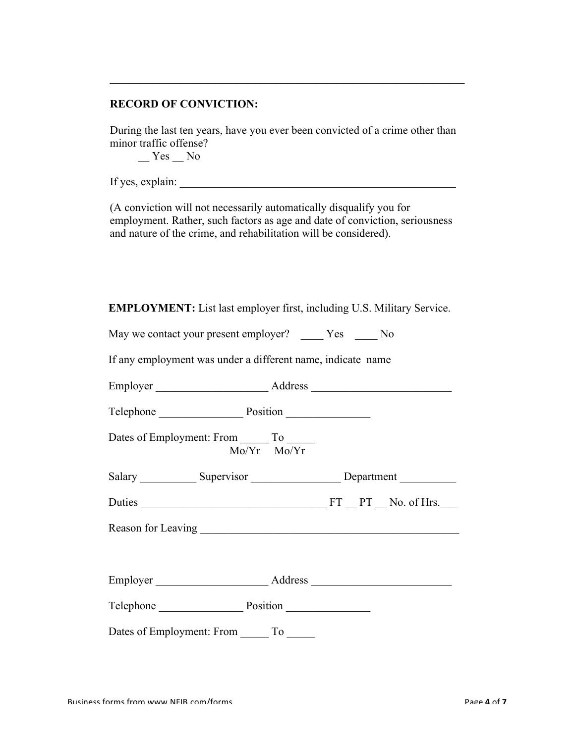## **RECORD OF CONVICTION:**

During the last ten years, have you ever been convicted of a crime other than minor traffic offense?

 $\mathcal{L}_\text{max}$  , and the contribution of the contribution of the contribution of the contribution of the contribution of the contribution of the contribution of the contribution of the contribution of the contribution of t

 $Yes$  No

If yes, explain:  $\frac{1}{\sqrt{2}}$ 

(A conviction will not necessarily automatically disqualify you for employment. Rather, such factors as age and date of conviction, seriousness and nature of the crime, and rehabilitation will be considered).

**EMPLOYMENT:** List last employer first, including U.S. Military Service.

May we contact your present employer? \_\_\_\_\_ Yes \_\_\_\_\_ No

If any employment was under a different name, indicate name

| Telephone Position                                                               |  |
|----------------------------------------------------------------------------------|--|
| Dates of Employment: From ________ To ______<br>$Mo/Yr$ $Mo/Yr$                  |  |
| Salary ______________ Supervisor ________________________Department ____________ |  |
|                                                                                  |  |
|                                                                                  |  |
|                                                                                  |  |
| Telephone Position                                                               |  |
| Dates of Employment: From ________ To _______                                    |  |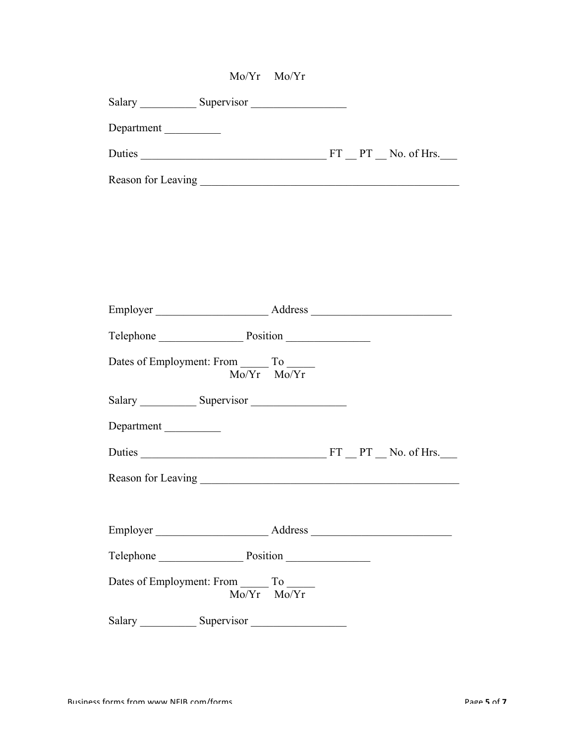|                                                                                  | Mo/Yr Mo/Yr     |  |  |
|----------------------------------------------------------------------------------|-----------------|--|--|
|                                                                                  |                 |  |  |
| Department                                                                       |                 |  |  |
|                                                                                  |                 |  |  |
|                                                                                  |                 |  |  |
|                                                                                  |                 |  |  |
|                                                                                  |                 |  |  |
|                                                                                  |                 |  |  |
|                                                                                  |                 |  |  |
|                                                                                  |                 |  |  |
| Telephone Position                                                               |                 |  |  |
|                                                                                  |                 |  |  |
| Dates of Employment: From To                                                     | $Mo/Yr$ $Mo/Yr$ |  |  |
|                                                                                  |                 |  |  |
| Department                                                                       |                 |  |  |
|                                                                                  |                 |  |  |
|                                                                                  |                 |  |  |
|                                                                                  |                 |  |  |
|                                                                                  |                 |  |  |
| Telephone Position                                                               |                 |  |  |
| Dates of Employment: From $\frac{1}{100 \text{Yr}}$ To $\frac{1}{100 \text{Yr}}$ |                 |  |  |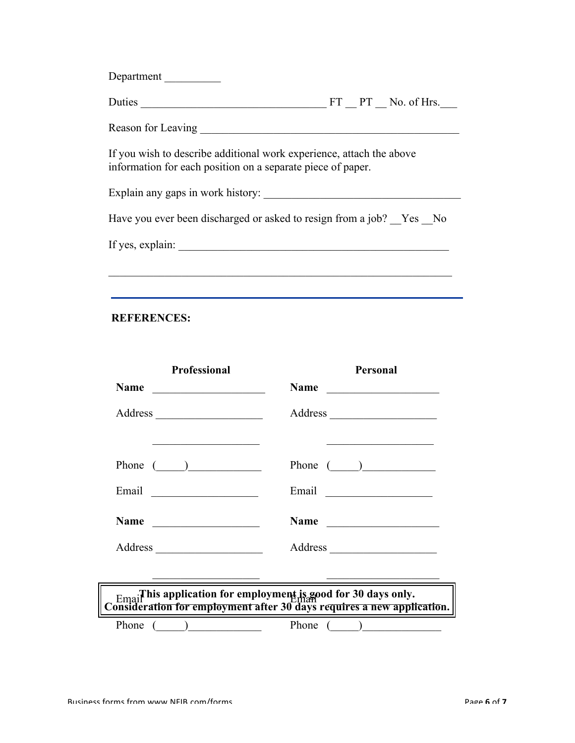| Department                                                                                                                          |  |
|-------------------------------------------------------------------------------------------------------------------------------------|--|
|                                                                                                                                     |  |
|                                                                                                                                     |  |
| If you wish to describe additional work experience, attach the above<br>information for each position on a separate piece of paper. |  |
|                                                                                                                                     |  |
| Have you ever been discharged or asked to resign from a job? Yes No                                                                 |  |
|                                                                                                                                     |  |
|                                                                                                                                     |  |
|                                                                                                                                     |  |

#### **REFERENCES:**

| <b>Professional</b>                                                        | Personal                                                                   |
|----------------------------------------------------------------------------|----------------------------------------------------------------------------|
| Name                                                                       | <b>Name</b>                                                                |
|                                                                            |                                                                            |
| the control of the control of the control of the control of the control of | the control of the control of the control of the control of the control of |
| Phone $(\_\_)$                                                             | Phone $(\_)$                                                               |
|                                                                            |                                                                            |
|                                                                            | Name                                                                       |
|                                                                            |                                                                            |

# $E_{\text{maj}}$  This application for employment is good for 30 days only. **Consideration for employment after 30 days requires a new application.**

Phone (  $\qquad$  )

 $\mathcal{L}=\mathcal{L}=\mathcal{L}=\mathcal{L}=\mathcal{L}=\mathcal{L}=\mathcal{L}=\mathcal{L}=\mathcal{L}=\mathcal{L}=\mathcal{L}=\mathcal{L}=\mathcal{L}=\mathcal{L}=\mathcal{L}=\mathcal{L}=\mathcal{L}=\mathcal{L}=\mathcal{L}=\mathcal{L}=\mathcal{L}=\mathcal{L}=\mathcal{L}=\mathcal{L}=\mathcal{L}=\mathcal{L}=\mathcal{L}=\mathcal{L}=\mathcal{L}=\mathcal{L}=\mathcal{L}=\mathcal{L}=\mathcal{L}=\mathcal{L}=\mathcal{L}=\mathcal{L}=\mathcal{$ 

Phone (  $\qquad$  )

 $\mathcal{L}=\mathcal{L}=\mathcal{L}=\mathcal{L}=\mathcal{L}=\mathcal{L}=\mathcal{L}=\mathcal{L}=\mathcal{L}=\mathcal{L}=\mathcal{L}=\mathcal{L}=\mathcal{L}=\mathcal{L}=\mathcal{L}=\mathcal{L}=\mathcal{L}=\mathcal{L}=\mathcal{L}=\mathcal{L}=\mathcal{L}=\mathcal{L}=\mathcal{L}=\mathcal{L}=\mathcal{L}=\mathcal{L}=\mathcal{L}=\mathcal{L}=\mathcal{L}=\mathcal{L}=\mathcal{L}=\mathcal{L}=\mathcal{L}=\mathcal{L}=\mathcal{L}=\mathcal{L}=\mathcal{$